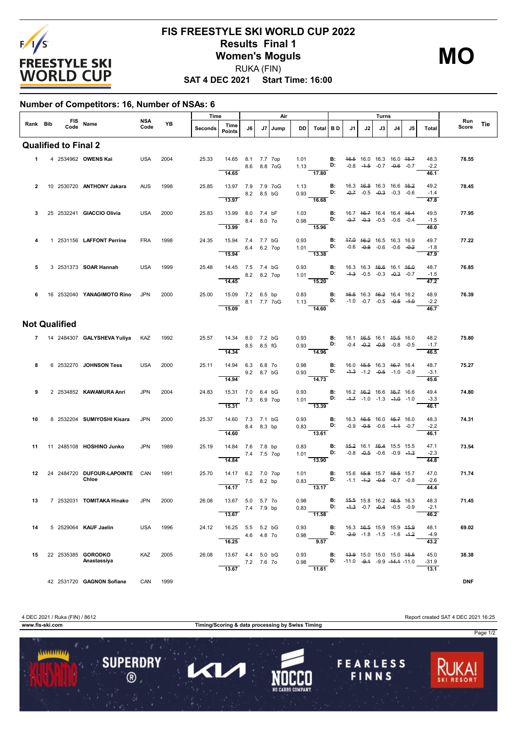

## **SAT 4 DEC 2021 Start Time: 16:00 FIS FREESTYLE SKI WORLD CUP 2022 Results Final 1 Women's Moguls** RUKA (FIN)

**MO**

**Number of Competitors: 16, Number of NSAs: 6**

|                |                             |                                         |             |           | Time    |                                            | Air         |             |      | Turns        |                                                                                                                                 |                                                          |    |    |    |                                                                                                |      |                         |              |     |
|----------------|-----------------------------|-----------------------------------------|-------------|-----------|---------|--------------------------------------------|-------------|-------------|------|--------------|---------------------------------------------------------------------------------------------------------------------------------|----------------------------------------------------------|----|----|----|------------------------------------------------------------------------------------------------|------|-------------------------|--------------|-----|
|                |                             | Rank Bib FIS Name                       | NSA<br>Code | <b>YB</b> | Seconds | Time<br>Points                             | J6          | J7          | Jump | DD           | Total BD                                                                                                                        |                                                          | J1 | J2 | J3 | J4                                                                                             | J5 I | <b>Total</b>            | Run<br>Score | Tie |
|                | <b>Qualified to Final 2</b> |                                         |             |           |         |                                            |             |             |      |              |                                                                                                                                 |                                                          |    |    |    |                                                                                                |      |                         |              |     |
|                |                             | 1 4 2534962 OWENS Kai                   | USA         | 2004      | 25.33   | 14.65 8.1 7.7 7op<br>8.6 8.8 7oG<br>14.65  |             |             |      |              | 1.01 <b>B:</b> 4 <del>6.5</del> 16.0 16.3 16.0 4 <del>5.7</del><br>1.13 <b>D:</b> -0.8 -4. <del>5</del> -0.7 -0.6 -0.7<br>17.80 |                                                          |    |    |    |                                                                                                |      | 48.3<br>$-2.2$<br>46.1  | 78.55        |     |
| $\overline{2}$ |                             | 10 2530720 ANTHONY Jakara               | <b>AUS</b>  | 1998      | 25.85   | 13.97 7.9 7.9 7oG<br>8.2 8.5 bG<br>13.97   |             |             |      |              | 1.13 <b>B:</b> 16.3 46.8 16.3 16.6 46.2<br>0.93<br>$-16.68$                                                                     |                                                          |    |    |    | D: $-0.7$ $-0.5$ $-0.3$ $-0.3$ $-0.6$                                                          |      | 49.2<br>$-1.4$<br>47.8  | 78.45        |     |
| 3              |                             | 25 2532241 <b>GIACCIO Olivia</b>        | USA         | 2000      | 25.83   | 13.99 8.0 7.4 bF<br>13.99                  |             | 8.4 8.0 70  |      | 1.03         | $0.98$ D:<br>$-15.96$                                                                                                           | $\blacksquare$                                           |    |    |    | 16.7 46.7 16.4 16.4 46.4<br>$-0.7$ $-0.3$ $-0.5$ $-0.6$ $-0.4$                                 |      | 49.5<br>$-1.5$          | 77.95        |     |
| 4              |                             | 1 2531156 LAFFONT Perrine               | <b>FRA</b>  | 1998      | 24.35   | 15.94 7.4 7.7 bG<br>$-6.4$ 6.2 7op         |             |             |      | 0.93         | 1.01 <b>D:</b> $-0.6$ $-0.8$ $-0.6$ $-0.6$ $-0.2$                                                                               | <b>B:</b> 47.0 46.2 16.5 16.3 16.9                       |    |    |    |                                                                                                |      | 48.0<br>49.7<br>$-1.8$  | 77.22        |     |
| 5              |                             | 3 2531373 <b>SOAR Hannah</b>            | USA         | 1999      | 25.48   | 15.94<br>14.45 7.5 7.4 bG                  | 8.2 8.2 7op |             |      |              | $\overline{13.38}$<br>$0.93$ <b>B:</b><br>1.01 <b>D:</b> $-4.3$ $-0.5$ $-0.3$ $-0.3$ $-0.3$ $-0.7$                              |                                                          |    |    |    | 16.3 16.3 <del>16.6</del> 16.1 <del>16.0</del>                                                 |      | 47.9<br>48.7<br>$-1.5$  | 76.85        |     |
| 6              |                             | 16 2532040 YANAGIMOTO Rino              | JPN         | 2000      | 25.00   | 14.45<br>15.09 7.2 6.5 bp<br>8.1 7.7 7oG   |             |             |      |              | $-15.20$<br>0.83 <b>B:</b> 4 <del>6.5</del> 16.3 46.2 16.4 16.2<br>1.13 <b>D:</b> -1.0 -0.7 -0.5 -0. <del>5</del> -1.0          |                                                          |    |    |    |                                                                                                |      | 47.2<br>48.9<br>$-2.2$  | 76.39        |     |
|                | <b>Not Qualified</b>        |                                         |             |           |         | 15.09                                      |             |             |      |              | 14.60                                                                                                                           |                                                          |    |    |    |                                                                                                |      | 46.7                    |              |     |
|                |                             | 7 14 2484307 GALYSHEVA Yuliya KAZ       |             | 1992      | 25.57   | 14.34 8.0 7.2 bG<br>14.34                  |             | 8.5 8.5 fG  |      | 0.93         | $0.93$ D:<br>$\frac{1}{14.96}$                                                                                                  | <b>B:</b> 16.1 <del>16.5</del> 16.1 <del>15.5</del> 16.0 |    |    |    | $-0.4$ $-0.2$ $-0.8$ $-0.8$ $-0.5$                                                             |      | 48.2<br>$-1.7$<br>46.5  | 75.80        |     |
| 8              |                             | 6 2532270 JOHNSON Tess                  | USA         | 2000      | 25.11   | 14.94 6.3 6.8 7o<br>9.2 8.7 bG<br>14.94    |             |             |      | 0.98         | 0.93 <b>D:</b> $-4.3$ $-1.2$ $-0.5$ $-1.0$ $-0.9$<br>$\overline{14.73}$                                                         | <b>B:</b> 16.0 <del>15.5</del> 16.3 <del>16.7</del> 16.4 |    |    |    |                                                                                                |      | 48.7<br>$-3.1$<br>45.6  | 75.27        |     |
| 9              |                             | 2 2534852 KAWAMURA Anri                 | <b>JPN</b>  | 2004      | 24.83   | 15.31 7.0 6.4 bG<br>15.31                  | 7.3 6.9 7op |             |      |              | $0.93$ B:<br>1.01 <b>D:</b><br>$\overline{13.39}$                                                                               |                                                          |    |    |    | 16.2 <del>16.2</del> 16.6 <del>16.7</del> 16.6<br>$-4.7$ $-1.0$ $-1.3$ $-4.0$ $-1.0$           |      | 49.4<br>$-3.3$<br>46.1  | 74.80        |     |
| 10             |                             | 8 2532204 SUMIYOSHI Kisara              | JPN         | 2000      | 25.37   | 14.60 7.3 7.1 bG<br>14.60                  |             | 8.4 8.3 bp  |      |              | 0.93 <b>B:</b> 16.3 46.5 16.0 45.7 16.0<br>0.83 <b>D:</b> $-0.9$ $-0.5$ $-0.6$ $-4.4$ $-0.7$<br>13.61                           |                                                          |    |    |    |                                                                                                |      | 48.3<br>$-2.2$<br>46.1  | 74.31        |     |
| 11             |                             | 11 2485108 HOSHINO Junko                | JPN         | 1989      | 25.19   | 14.84 7.6 7.8 bp<br>$7.4$ 7.5 7op<br>14.84 |             |             |      |              | 0.83 B: 45.2 16.1 46.4 15.5 15.5<br>1.01<br>13.90                                                                               |                                                          |    |    |    | D: $-0.8$ $-0.5$ $-0.6$ $-0.9$ $-4.3$                                                          |      | 47.1<br>$-2.3$<br>44.8  | 73.54        |     |
| 12             |                             | 24 2484720 DUFOUR LAPOINTE CAN<br>Chloe |             | 1991      | 25.70   | 14.17 6.2 7.0 7op<br>14.17                 |             | 7.5 8.2 bp  |      | 1.01         | $0.83$ D:<br>$\overline{13.17}$                                                                                                 | B:                                                       |    |    |    | 15.6 45.8 15.7 45.5 15.7<br>$-1.1$ $-1.2$ $-0.5$ $-0.7$ $-0.8$                                 |      | 47.0<br>$-2.6$<br>44.4  | 71.74        |     |
| 13             |                             | 7 2532031 <b>TOMITAKA Hinako</b>        |             | JPN 2000  | 26.08   | 13.67 5.0 5.7 7o<br>13.67                  |             | 7.4 7.9 bp  |      | 0.98<br>0.83 | 11.58                                                                                                                           | В:<br>D:                                                 |    |    |    | 45.5 15.8 16.2 46.5 16.3<br>$-4.3$ $-0.7$ $-0.4$ $-0.5$ $-0.9$                                 |      | 48.3<br>$-2.1$<br>46.2  | 71.45        |     |
| 14             |                             | 5 2529064 KAUF Jaelin                   | USA         | 1996      | 24.12   | 16.25 5.5 5.2 bG<br>16.25                  |             | 4.6 4.8 70  |      | 0.93<br>0.98 | 9.57                                                                                                                            | В:                                                       |    |    |    | 16.3 <del>16.5</del> 15.9 15.9 <del>15.9</del><br><b>D:</b> $-2.0$ $-1.8$ $-1.5$ $-1.6$ $-1.2$ |      | 48.1<br>$-4.9$<br>43.2  | 69.02        |     |
| 15             |                             | 22 2535385 GORODKO<br>Anastassiya       | KAZ         | 2005      | 26.08   | 13.67  4.4  5.0 bG<br>13.67                |             | 7.2 7.6 7 0 |      | 0.93<br>0.98 | 11.61                                                                                                                           |                                                          |    |    |    | <b>B:</b> 43.9 15.0 15.0 15.0 45.5<br><b>D:</b> $-11.0$ $-9.4$ $-9.9$ $-14.4$ $-11.0$          |      | 45.0<br>$-31.9$<br>13.1 | 38.38        |     |
|                |                             | 42 2531720 GAGNON Sofiane               |             | CAN 1999  |         |                                            |             |             |      |              |                                                                                                                                 |                                                          |    |    |    |                                                                                                |      |                         | <b>DNF</b>   |     |

**www.fis-ski.com Timing/Scoring & data processing by Swiss Timing** Page 1/2 ........... **SUPERDRY FEARLESS** KI)  $\circledR$ FINNS

4 DEC 2021 / Ruka (FIN) / 8612 Report created SAT 4 DEC 2021 16:25